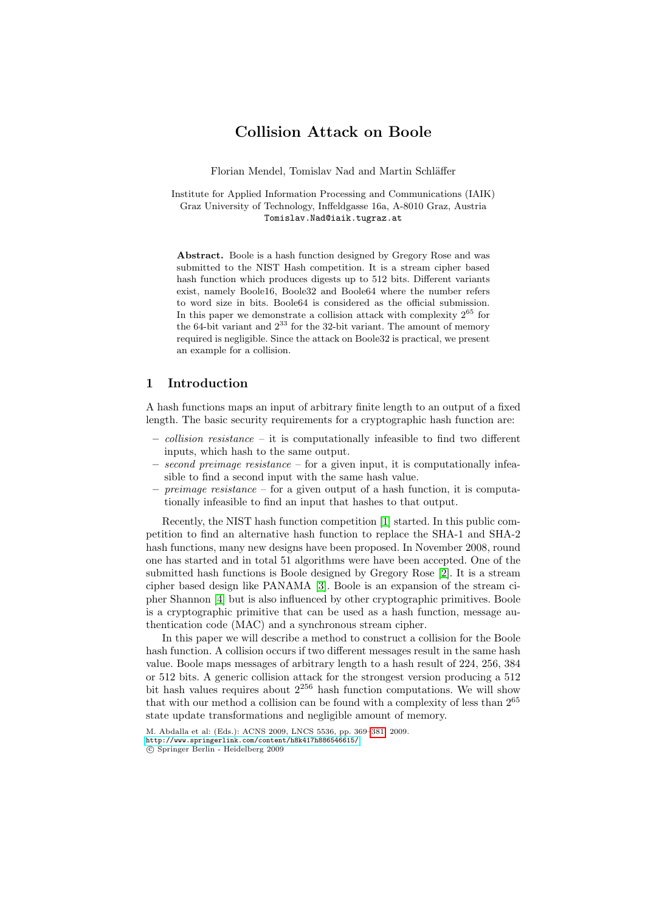# Collision Attack on Boole

Florian Mendel, Tomislav Nad and Martin Schläffer

Institute for Applied Information Processing and Communications (IAIK) Graz University of Technology, Inffeldgasse 16a, A-8010 Graz, Austria Tomislav.Nad@iaik.tugraz.at

Abstract. Boole is a hash function designed by Gregory Rose and was submitted to the NIST Hash competition. It is a stream cipher based hash function which produces digests up to 512 bits. Different variants exist, namely Boole16, Boole32 and Boole64 where the number refers to word size in bits. Boole64 is considered as the official submission. In this paper we demonstrate a collision attack with complexity  $2^{65}$  for the 64-bit variant and  $2^{33}$  for the 32-bit variant. The amount of memory required is negligible. Since the attack on Boole32 is practical, we present an example for a collision.

### 1 Introduction

A hash functions maps an input of arbitrary finite length to an output of a fixed length. The basic security requirements for a cryptographic hash function are:

- $collision\ resistance it is computationally infeasible to find two different$ inputs, which hash to th[e s](#page-10-0)ame output.
- $-$  second preimage resistance  $-$  for a given input, it is computationally infeasible to find a second input with the same hash value.
- $-$  preimage resistance for a given output of a hash function, it is computationally inf[ea](#page-10-2)sible to find an input th[at](#page-10-1) hashes to that output.

Recently, the NIST hash function competition [1] started. In this public competition to find an alternative hash function to replace the SHA-1 and SHA-2 hash functions, many new designs have been proposed. In November 2008, round one has started and in total 51 algorithms were have been accepted. One of the submitted hash functions is Boole designed by Gregory Rose [2]. It is a stream cipher based design like PANAMA [3]. Boole is an expansion of the stream cipher Shannon [4] but is also influenced by other cryptographic primitives. Boole is a cryptographic primitive that can be used as a hash function, message authentication code (MAC) and a synchronous stream cipher.

In this paper we will describe a method to construct a collision for the Boole hash function. A collision occurs if two different messages result in the same hash [value. Boole maps messa](http://www.springerlink.com/content/h8k417h886546615/)g[es of](#page-12-0) arbitrary length to a hash result of 224, 256, 384 or 512 bits. A generic collision attack for the strongest version producing a 512 bit hash values requires about  $2^{256}$  hash function computations. We will show that with our method a collision can be found with a complexity of less than 2<sup>65</sup> state update transformations and negligible amount of memory.

M. Abdalla et al: (Eds.): ACNS 2009, LNCS 5536, pp. 369–381, 2009. http://www.springerlink.com/content/h8k417h886546615/ c Springer Berlin - Heidelberg 2009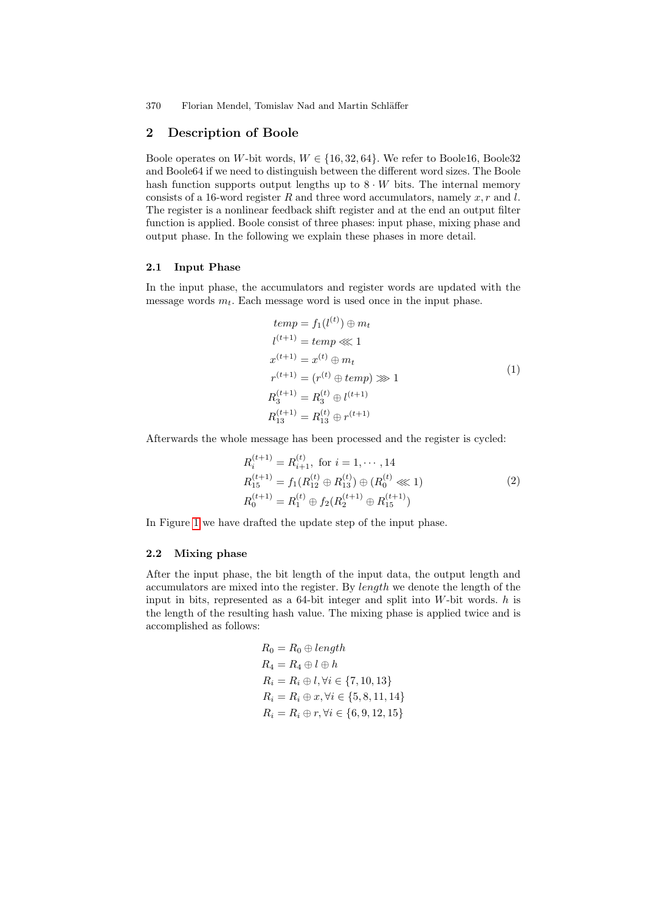370 Florian Mendel, Tomislav Nad and Martin Schläffer

### 2 Description of Boole

Boole operates on W-bit words,  $W \in \{16, 32, 64\}$ . We refer to Boole16, Boole32 and Boole64 if we need to distinguish between the different word sizes. The Boole hash function supports output lengths up to  $8 \cdot W$  bits. The internal memory consists of a 16-word register R and three word accumulators, namely x, r and l. The register is a nonlinear feedback shift register and at the end an output filter function is applied. Boole consist of three phases: input phase, mixing phase and output phase. In the following we explain these phases in more detail.

#### 2.1 Input Phase

In the input phase, the accumulators and register words are updated with the message words  $m_t$ . Each message word is used once in the input phase.

 $\sim$  (A).

$$
temp = f_1(l^{(t)}) \oplus m_t
$$
  
\n
$$
l^{(t+1)} = temp \ll 1
$$
  
\n
$$
x^{(t+1)} = x^{(t)} \oplus m_t
$$
  
\n
$$
r^{(t+1)} = (r^{(t)} \oplus temp) \gg 1
$$
  
\n
$$
R_3^{(t+1)} = R_3^{(t)} \oplus l^{(t+1)}
$$
  
\n
$$
R_{13}^{(t+1)} = R_{13}^{(t)} \oplus r^{(t+1)}
$$
  
\n(1)

Afterwards the whole message has been processed and the register is cycled:

$$
R_i^{(t+1)} = R_{i+1}^{(t)}, \text{ for } i = 1, \dots, 14
$$
  
\n
$$
R_{15}^{(t+1)} = f_1(R_{12}^{(t)} \oplus R_{13}^{(t)}) \oplus (R_0^{(t)} \ll 1)
$$
  
\n
$$
R_0^{(t+1)} = R_1^{(t)} \oplus f_2(R_2^{(t+1)} \oplus R_{15}^{(t+1)})
$$
\n(2)

In Figure 1 we have drafted the update step of the input phase.

### 2.2 Mixing phase

After the input phase, the bit length of the input data, the output length and accumulators are mixed into the register. By length we denote the length of the input in bits, represented as a 64-bit integer and split into  $W$ -bit words.  $h$  is the length of the resulting hash value. The mixing phase is applied twice and is accomplished as follows:

$$
R_0 = R_0 \oplus length
$$
  
\n
$$
R_4 = R_4 \oplus l \oplus h
$$
  
\n
$$
R_i = R_i \oplus l, \forall i \in \{7, 10, 13\}
$$
  
\n
$$
R_i = R_i \oplus x, \forall i \in \{5, 8, 11, 14\}
$$
  
\n
$$
R_i = R_i \oplus r, \forall i \in \{6, 9, 12, 15\}
$$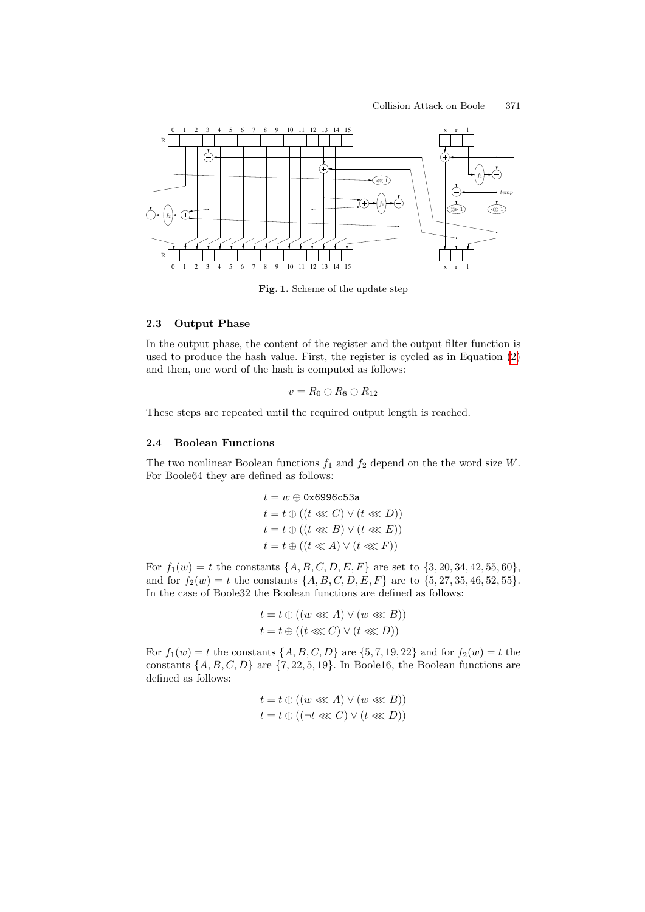

Fig. 1. Scheme of the update step

### 2.3 Output Phase

In the output phase, the content of the register and the output filter function is used to produce the hash value. First, the register is cycled as in Equation (2) and then, one word of the hash is computed as follows:

$$
v = R_0 \oplus R_8 \oplus R_{12}
$$

These steps are repeated until the required output length is reached.

### 2.4 Boolean Functions

The two nonlinear Boolean functions  $f_1$  and  $f_2$  depend on the the word size W. For Boole64 they are defined as follows:

$$
t = w \oplus 0 \times 6996c53a
$$
  
\n
$$
t = t \oplus ((t \lll C) \lor (t \lll D))
$$
  
\n
$$
t = t \oplus ((t \lll B) \lor (t \lll E))
$$
  
\n
$$
t = t \oplus ((t \lll A) \lor (t \lll F))
$$

For  $f_1(w) = t$  the constants  $\{A, B, C, D, E, F\}$  are set to  $\{3, 20, 34, 42, 55, 60\},\$ and for  $f_2(w) = t$  the constants  $\{A, B, C, D, E, F\}$  are to  $\{5, 27, 35, 46, 52, 55\}.$ In the case of Boole32 the Boolean functions are defined as follows:

$$
t = t \oplus ((w \lll A) \vee (w \lll B))
$$
  

$$
t = t \oplus ((t \lll C) \vee (t \lll D))
$$

For  $f_1(w) = t$  the constants  $\{A, B, C, D\}$  are  $\{5, 7, 19, 22\}$  and for  $f_2(w) = t$  the constants  $\{A, B, C, D\}$  are  $\{7, 22, 5, 19\}$ . In Boole16, the Boolean functions are defined as follows:

$$
t = t \oplus ((w \lll A) \lor (w \lll B))
$$
  

$$
t = t \oplus ((\neg t \lll C) \lor (t \lll D))
$$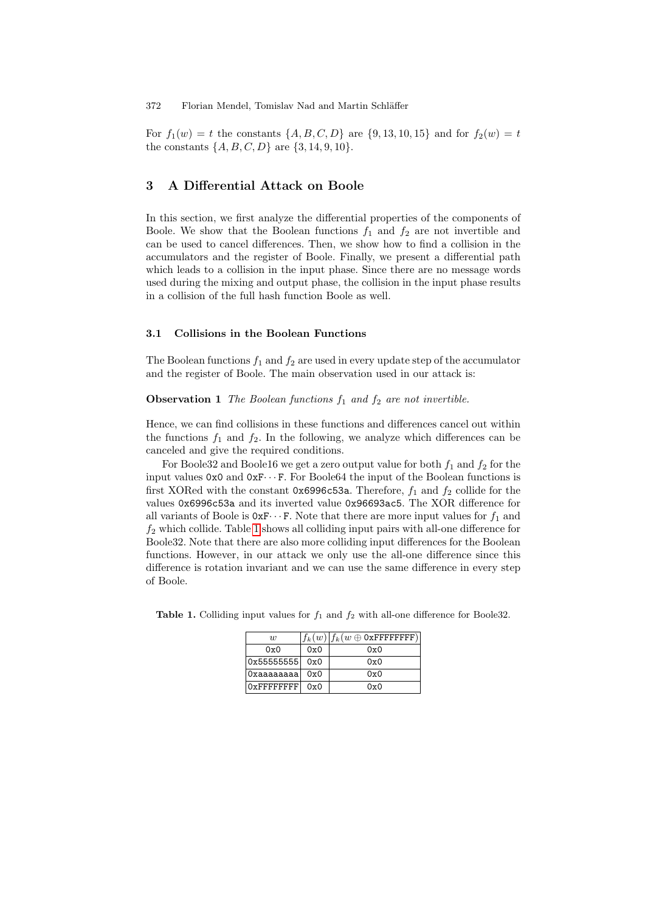For  $f_1(w) = t$  the constants  $\{A, B, C, D\}$  are  $\{9, 13, 10, 15\}$  and for  $f_2(w) = t$ the constants  $\{A, B, C, D\}$  are  $\{3, 14, 9, 10\}.$ 

## 3 A Differential Attack on Boole

<span id="page-3-1"></span>In this section, we first analyze the differential properties of the components of Boole. We show that the Boolean functions  $f_1$  and  $f_2$  are not invertible and can be used to cancel differences. Then, we show how to find a collision in the accumulators and the register of Boole. Finally, we present a differential path which leads to a collision in the input phase. Since there are no message words used during the mixing and output phase, the collision in the input phase results in a collision of the full hash function Boole as well.

#### 3.1 Collisions in the Boolean Functions

The Boolean functions  $f_1$  and  $f_2$  are used in every update step of the accumulator and the register of Boole. The main observation used in our attack is:

### **Observation 1** The Boolean functions  $f_1$  and  $f_2$  are not invertible.

Hence, we can find collisions in these functions and differences cancel out within the functions  $f_1$  and  $f_2$ . In the following, we analyze which differences can be c[an](#page-3-0)celed and give the required conditions.

<span id="page-3-0"></span>For Boole32 and Boole16 we get a zero output value for both  $f_1$  and  $f_2$  for the input values  $0x0$  and  $0xF...F$ . For Boole64 the input of the Boolean functions is first XORed with the constant 0x6996c53a. Therefore,  $f_1$  and  $f_2$  collide for the values 0x6996c53a and its inverted value 0x96693ac5. The XOR difference for all variants of Boole is  $0xF \cdots F$ . Note that there are more input values for  $f_1$  and  $f_2$  which collide. Table 1 shows all colliding input pairs with all-one difference for Boole32. Note that there are also more colliding input differences for the Boolean functions. However, in our attack we only use the all-one difference since this difference is rotation invariant and we can use the same difference in every step of Boole.

| $\overline{u}$     |     | $ f_k(w)  f_k(w \oplus$ OxFFFFFFFFF $)  $ |
|--------------------|-----|-------------------------------------------|
| 0x0                | 0x0 | 0x0                                       |
| $ 0x55555555 $ 0x0 |     | 0x0                                       |
| Oxaaaaaaaa         | 0x0 | 0x0                                       |
| $0x$ FFFFFFFFF     | 0x0 | 0x0                                       |

**Table 1.** Colliding input values for  $f_1$  and  $f_2$  with all-one difference for Boole32.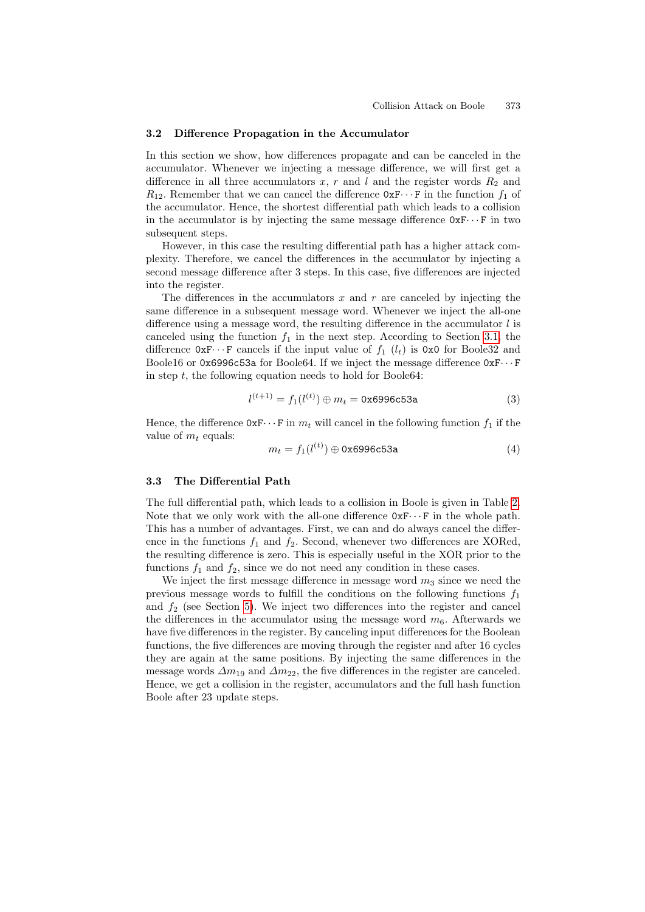#### <span id="page-4-0"></span>3.2 Difference Propagation in the Accumulator

In this section we show, how differences propagate and can be canceled in the accumulator. Whenever we injecting a message difference, we will first get a difference in all three accumulators x, r and l and the register words  $R_2$  and  $R_{12}$ . Remember that we can cancel the difference  $0xF\cdots F$  in the function  $f_1$  of the accumulator. Hence, the shortest differential path which leads to a collision in the accumulator is by injecting the same message difference  $0xF\cdots F$  in two subsequent steps.

However, in this case the resulting differential path has a higher attack complexity. Therefore, we cancel the differences in th[e ac](#page-3-1)cumulator by injecting a second message difference after 3 steps. In this case, five differences are injected into the register.

The differences in the accumulators x and r are canceled by injecting the same difference in a subsequent message word. Whenever we inject the all-one difference using a message word, the resulting difference in the accumulator  $l$  is canceled using the function  $f_1$  in the next step. According to Section 3.1, the difference  $0xF\cdots F$  cancels if the input value of  $f_1$  ( $l_t$ ) is 0x0 for Boole32 and Boole16 or  $0x6996c53a$  for Boole64. If we inject the message difference  $0xF \cdots F$ in step  $t$ , the following equation needs to hold for Boole64:

$$
l^{(t+1)} = f_1(l^{(t)}) \oplus m_t = \text{0x6996c53a} \tag{3}
$$

Hence, the difference  $0xF \cdots F$  in  $m_t$  will cancel in the foll[ow](#page-5-0)ing function  $f_1$  if the value of  $m_t$  equals:

$$
m_t = f_1(l^{(t)}) \oplus 0 \times 6996c53a \tag{4}
$$

### 3.3 The Differential Path

The full differential path, which leads to a collision in Boole is given in Table 2. Note that we only work with the all-one difference  $0xF \cdots F$  in the whole path. [T](#page-8-0)his has a number of advantages. First, we can and do always cancel the difference in the functions  $f_1$  and  $f_2$ . Second, whenever two differences are XORed, the resulting difference is zero. This is especially useful in the XOR prior to the functions  $f_1$  and  $f_2$ , since we do not need any condition in these cases.

We inject the first message difference in message word  $m_3$  since we need the previous message words to fulfill the conditions on the following functions  $f_1$ and  $f_2$  (see Section 5). We inject two differences into the register and cancel the differences in the accumulator using the message word  $m<sub>6</sub>$ . Afterwards we have five differences in the register. By canceling input differences for the Boolean functions, the five differences are moving through the register and after 16 cycles they are again at the same positions. By injecting the same differences in the message words  $\Delta m_{19}$  and  $\Delta m_{22}$ , the five differences in the register are canceled. Hence, we get a collision in the register, accumulators and the full hash function Boole after 23 update steps.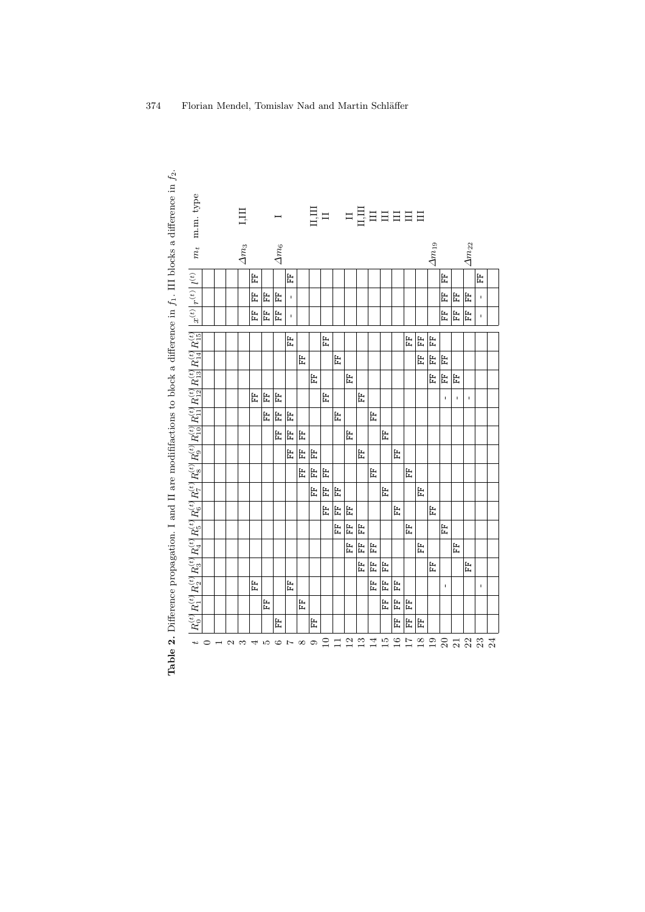<span id="page-5-0"></span>

| <b>Table 2.</b> Difference propagation. I and II are modififactions to block a difference in $f_1$ . III blocks a difference in $f_2$ | $m_t$ m.m. type                                                                                                                                                                                                                                 |                          |                 | Ę            |   |     |              |             |                   |    |        |   |                                               |   |    |                 |                 |                 |        |                 |              |             |                 |              |  |
|---------------------------------------------------------------------------------------------------------------------------------------|-------------------------------------------------------------------------------------------------------------------------------------------------------------------------------------------------------------------------------------------------|--------------------------|-----------------|--------------|---|-----|--------------|-------------|-------------------|----|--------|---|-----------------------------------------------|---|----|-----------------|-----------------|-----------------|--------|-----------------|--------------|-------------|-----------------|--------------|--|
|                                                                                                                                       |                                                                                                                                                                                                                                                 |                          |                 | $\Delta m_3$ |   |     | $\Delta m_6$ |             |                   |    |        |   |                                               |   |    |                 |                 |                 |        | $\Delta m_{19}$ |              |             | $\Delta m_{22}$ |              |  |
|                                                                                                                                       |                                                                                                                                                                                                                                                 |                          |                 |              | 뜐 |     |              | 梅           |                   |    |        |   |                                               |   |    |                 |                 |                 |        |                 | 梅            |             |                 | 出            |  |
|                                                                                                                                       |                                                                                                                                                                                                                                                 |                          |                 |              | 뜒 | E   | Ë            | $\mathbf I$ |                   |    |        |   |                                               |   |    |                 |                 |                 |        |                 | 띥            | 匿           | 끉               | $\mathbf{I}$ |  |
|                                                                                                                                       | $x^{(t)}\big  r^{(t)}\big  l^{(t)}$                                                                                                                                                                                                             |                          |                 |              | 뜐 | EF  | 끉            | $\mathsf I$ |                   |    |        |   |                                               |   |    |                 |                 |                 |        |                 | E            | Ë           | 문               | ŧ.           |  |
|                                                                                                                                       |                                                                                                                                                                                                                                                 |                          |                 |              |   |     |              | 뜐           |                   |    | ト      |   |                                               |   |    |                 |                 | 비법              |        | 出               |              |             |                 |              |  |
|                                                                                                                                       |                                                                                                                                                                                                                                                 |                          |                 |              |   |     |              |             | 띥                 |    |        | 문 |                                               |   |    |                 |                 |                 | 뜐      | Ë               | 띥            |             |                 |              |  |
|                                                                                                                                       | $R_0^{(t)}\big[R_1^{(t)}\big R_2^{(t)}\big R_3^{(t)}\big R_4^{(t)}\big R_6^{(t)}\big R_7^{(t)}\big R_8^{(t)}\big R_9^{(t)}\big R_9^{(t)}\big R_{10}^{(t)}\big R_{11}^{(t)}\big R_{12}^{(t)}\big R_{12}^{(t)}\big R_{14}^{(t)}\big R_{15}^{(t)}$ |                          |                 |              |   |     |              |             |                   | EF |        |   | 문                                             |   |    |                 |                 |                 |        | EF              | $\mathbb{H}$ | 뭅           |                 |              |  |
|                                                                                                                                       |                                                                                                                                                                                                                                                 |                          |                 |              | 눈 | 눈   | 出            |             |                   |    | 臣      |   |                                               | 눈 |    |                 |                 |                 |        |                 | $\mathbf I$  | $\mathbf I$ | $\mathbf{L}$    |              |  |
|                                                                                                                                       |                                                                                                                                                                                                                                                 |                          |                 |              |   | 문   | 띥            | 띥           |                   |    |        | 문 |                                               |   | 문  |                 |                 |                 |        |                 |              |             |                 |              |  |
|                                                                                                                                       |                                                                                                                                                                                                                                                 |                          |                 |              |   |     | 문            | EF          | 몺                 |    |        |   | 旧                                             |   |    | 끉               |                 |                 |        |                 |              |             |                 |              |  |
|                                                                                                                                       |                                                                                                                                                                                                                                                 |                          |                 |              |   |     |              | 면           | 띥                 | 붑  |        |   |                                               | 臣 |    |                 | ト               |                 |        |                 |              |             |                 |              |  |
|                                                                                                                                       |                                                                                                                                                                                                                                                 |                          |                 |              |   |     |              |             | 몺                 | 빏  | 묩      |   |                                               |   | 띥  |                 |                 | 몺               |        |                 |              |             |                 |              |  |
|                                                                                                                                       |                                                                                                                                                                                                                                                 |                          |                 |              |   |     |              |             |                   | 문  | 끉      | 띥 |                                               |   |    | 문               |                 |                 | 뭅      |                 |              |             |                 |              |  |
|                                                                                                                                       |                                                                                                                                                                                                                                                 |                          |                 |              |   |     |              |             |                   |    | 臣      | Ë | 법                                             |   |    |                 | 눈               |                 |        | 臣               |              |             |                 |              |  |
|                                                                                                                                       |                                                                                                                                                                                                                                                 |                          |                 |              |   |     |              |             |                   |    |        | 臣 | 법                                             | 뚭 |    |                 |                 | 눈               |        |                 | 눈            |             |                 |              |  |
|                                                                                                                                       |                                                                                                                                                                                                                                                 |                          |                 |              |   |     |              |             |                   |    |        |   | 문                                             | 문 | 띥  |                 |                 |                 | 문      |                 |              | 문           |                 |              |  |
|                                                                                                                                       |                                                                                                                                                                                                                                                 |                          |                 |              |   |     |              |             |                   |    |        |   |                                               | 臣 | 臣  | ト               |                 |                 |        | 뚭               |              |             | 뚭               |              |  |
|                                                                                                                                       |                                                                                                                                                                                                                                                 |                          |                 |              | 눈 |     |              | 뜐           |                   |    |        |   |                                               |   | 臣  | 臣               | ト               |                 |        |                 | $\mathbf{I}$ |             |                 | $\mathbf{L}$ |  |
|                                                                                                                                       |                                                                                                                                                                                                                                                 |                          |                 |              |   | 뜒   |              |             | 뜒                 |    |        |   |                                               |   |    | EF              | 법               | 법               |        |                 |              |             |                 |              |  |
|                                                                                                                                       |                                                                                                                                                                                                                                                 |                          |                 |              |   |     | Ë            |             |                   | Ë  |        |   |                                               |   |    |                 | E               | Ë               | 눈      |                 |              |             |                 |              |  |
|                                                                                                                                       | $\overline{a}$                                                                                                                                                                                                                                  | $\overline{\phantom{a}}$ | $\sim$ $\infty$ |              | 4 | LO. | $\sim$ 1     |             | $\infty$ $\infty$ |    | $\Box$ |   | $\begin{array}{c} 11 \\ 12 \\ 13 \end{array}$ |   | 14 | $\overline{15}$ | $\overline{16}$ | $\overline{17}$ | $18\,$ | 19              |              |             |                 | ន្តនន្ត      |  |
|                                                                                                                                       |                                                                                                                                                                                                                                                 |                          |                 |              |   |     |              |             |                   |    |        |   |                                               |   |    |                 |                 |                 |        |                 |              |             |                 |              |  |
|                                                                                                                                       |                                                                                                                                                                                                                                                 |                          |                 |              |   |     |              |             |                   |    |        |   |                                               |   |    |                 |                 |                 |        |                 |              |             |                 |              |  |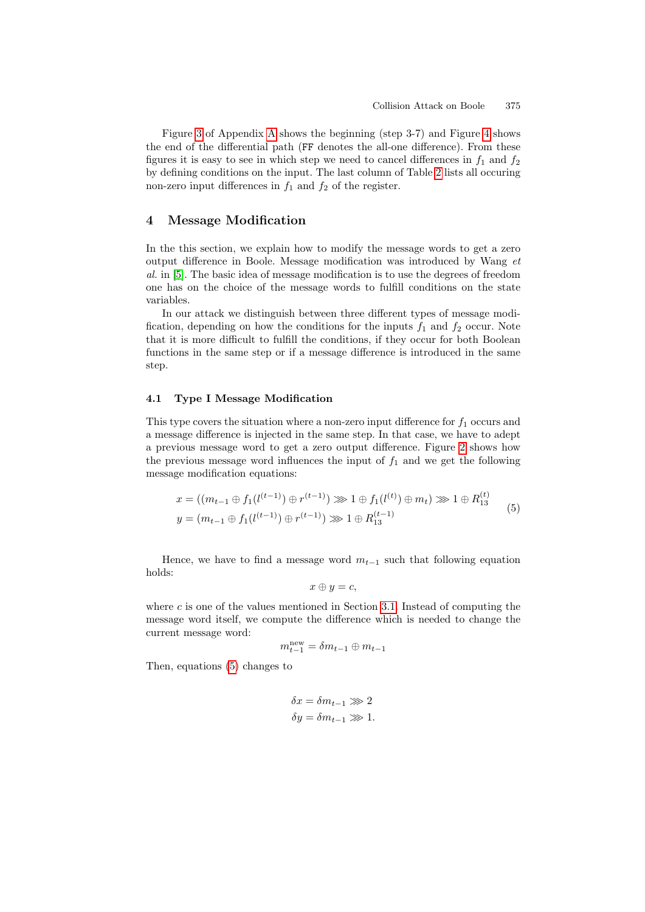$\lambda$ 

Figure 3 of Appendix A shows the beginning (step 3-7) and Figure 4 shows the end of the differential path (FF denotes the all-one difference). From these figures it is easy to see in which step we need to cancel differences in  $f_1$  and  $f_2$ by defining conditions on the input. The last column of Table 2 lists all occuring non-zero input differences in  $f_1$  and  $f_2$  of the register.

### 4 Message Modification

In the this section, we explain how to modify the message words to get a zero output difference in Boole. Message modification was introduced by Wang et al. in [5]. The basic idea of message modification is to use the degrees of freedom one has on the choice of the message words to fulfill conditions on the state variables.

In our attack we distinguish between three different types of message modification, depending on how the conditions for the inputs  $f_1$  and  $f_2$  occur. Note that it is more difficult to fulfill the conditions, if they occur for both Boolean functions in the same step or if a message difference is introduced in the same step.

#### 4.1 Type I Message Modification

This type covers the situation where a non-zero input difference for  $f_1$  occurs and a message difference is injected in the same step. In that case, we have to adept a previous message word to get a zero output difference. Figure 2 shows how the previous message word influences the input of  $f_1$  and we get the following message modification equations:

$$
x = ((m_{t-1} \oplus f_1(l^{(t-1)}) \oplus r^{(t-1)}) \ggg 1 \oplus f_1(l^{(t)}) \oplus m_t) \ggg 1 \oplus R_{13}^{(t)}
$$
  

$$
y = (m_{t-1} \oplus f_1(l^{(t-1)}) \oplus r^{(t-1)}) \ggg 1 \oplus R_{13}^{(t-1)}
$$
 (5)

Hence, we have to find a message word  $m_{t-1}$  such that following equation holds:

$$
x \oplus y = c,
$$

where  $c$  is one of the values mentioned in Section 3.1. Instead of computing the message word itself, we compute the difference which is needed to change the current message word:

$$
m_{t-1}^{\text{new}} = \delta m_{t-1} \oplus m_{t-1}
$$

Then, equations (5) changes to

$$
\delta x = \delta m_{t-1} \ggg 2
$$
  

$$
\delta y = \delta m_{t-1} \ggg 1.
$$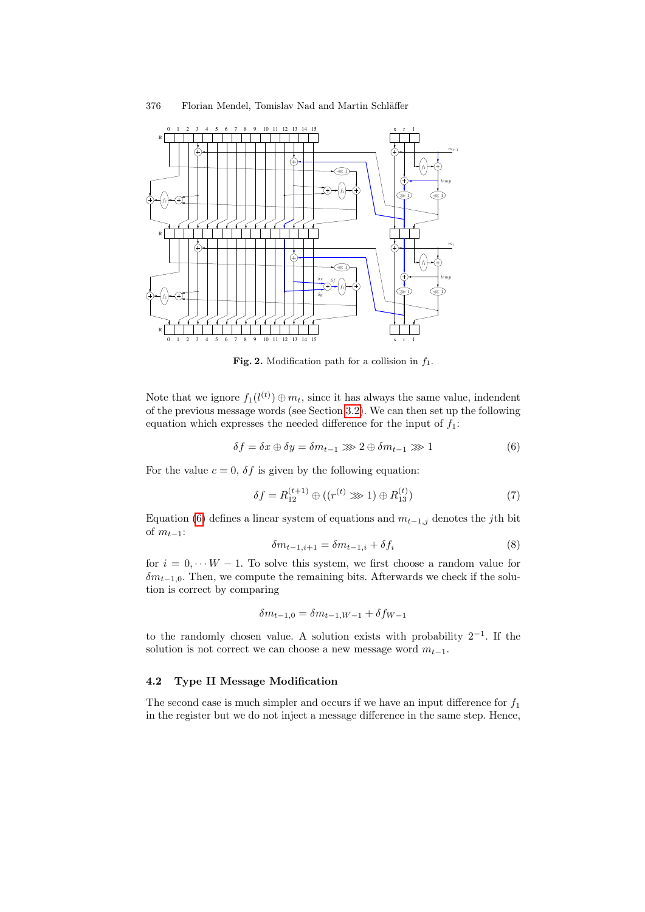

Fig. 2. Modification path for a collision in  $f_1$ .

Note that we ignore  $f_1(l^{(t)}) \oplus m_t$ , since it has always the same value, indendent of the previous message words (see Section 3.2). We can then set up the following equation which expresses the needed difference for the input of  $f_1$ :

$$
\delta f = \delta x \oplus \delta y = \delta m_{t-1} \ggg 2 \oplus \delta m_{t-1} \ggg 1 \tag{6}
$$

For the value  $c = 0$ ,  $\delta f$  is given by the following equation:

$$
\delta f = R_{12}^{(t+1)} \oplus ((r^{(t)} \ggg 1) \oplus R_{13}^{(t)})
$$
\n(7)

Equation (6) defines a linear system of equations and  $m_{t-1,j}$  denotes the jth bit of  $m_{t-1}$ :

$$
\delta m_{t-1,i+1} = \delta m_{t-1,i} + \delta f_i \tag{8}
$$

for  $i = 0, \dots W - 1$ . To solve this system, we first choose a random value for  $\delta m_{t-1,0}$ . Then, we compute the remaining bits. Afterwards we check if the solution is correct by comparing

$$
\delta m_{t-1,0} = \delta m_{t-1,W-1} + \delta f_{W-1}
$$

to the randomly chosen value. A solution exists with probability  $2^{-1}$ . If the solution is not correct we can choose a new message word  $m_{t-1}$ .

### 4.2 Type II Message Modification

The second case is much simpler and occurs if we have an input difference for  $f_1$ in the register but we do not inject a message difference in the same step. Hence,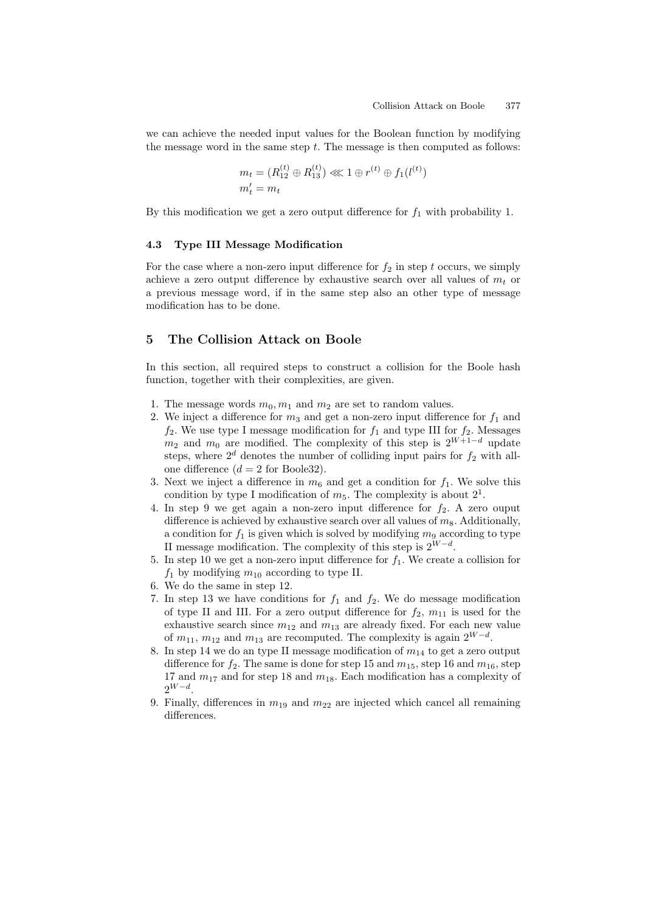we can achieve the needed input values for the Boolean function by modifying the message word in the same step  $t$ . The message is then computed as follows:

$$
m_t = (R_{12}^{(t)} \oplus R_{13}^{(t)}) \lll 1 \oplus r^{(t)} \oplus f_1(l^{(t)})
$$
  

$$
m'_t = m_t
$$

By this modification we get a zero output difference for  $f_1$  with probability 1.

#### 4.3 Type III Message Modification

For the case where a non-zero input difference for  $f_2$  in step t occurs, we simply achieve a zero output difference by exhaustive search over all values of  $m_t$  or a previous message word, if in the same step also an other type of message modification has to be done.

### <span id="page-8-0"></span>5 The Collision Attack on Boole

In this section, all required steps to construct a collision for the Boole hash function, together with their complexities, are given.

- 1. The message words  $m_0, m_1$  and  $m_2$  are set to random values.
- 2. We inject a difference for  $m_3$  and get a non-zero input difference for  $f_1$  and  $f_2$ . We use type I message modification for  $f_1$  and type III for  $f_2$ . Messages  $m_2$  and  $m_0$  are modified. The complexity of this step is  $2^{W+1-d}$  update steps, where  $2^d$  denotes the number of colliding input pairs for  $f_2$  with allone difference  $(d = 2$  for Boole32).
- 3. Next we inject a difference in  $m_6$  and get a condition for  $f_1$ . We solve this condition by type I modification of  $m_5$ . The complexity is about  $2^1$ .
- 4. In step 9 we get again a non-zero input difference for  $f_2$ . A zero ouput difference is achieved by exhaustive search over all values of  $m_8$ . Additionally, a condition for  $f_1$  is given which is solved by modifying  $m_9$  according to type II message modification. The complexity of this step is  $2^{W-d}$ .
- 5. In step 10 we get a non-zero input difference for  $f_1$ . We create a collision for  $f_1$  by modifying  $m_{10}$  according to type II.
- 6. We do the same in step 12.
- 7. In step 13 we have conditions for  $f_1$  and  $f_2$ . We do message modification of type II and III. For a zero output difference for  $f_2$ ,  $m_{11}$  is used for the exhaustive search since  $m_{12}$  and  $m_{13}$  are already fixed. For each new value of  $m_{11}$ ,  $m_{12}$  and  $m_{13}$  are recomputed. The complexity is again  $2^{W-d}$ .
- 8. In step 14 we do an type II message modification of  $m_{14}$  to get a zero output difference for  $f_2$ . The same is done for step 15 and  $m_{15}$ , step 16 and  $m_{16}$ , step 17 and  $m_{17}$  and for step 18 and  $m_{18}$ . Each modification has a complexity of  $2^{W-d}$ .
- 9. Finally, differences in  $m_{19}$  and  $m_{22}$  are injected which cancel all remaining differences.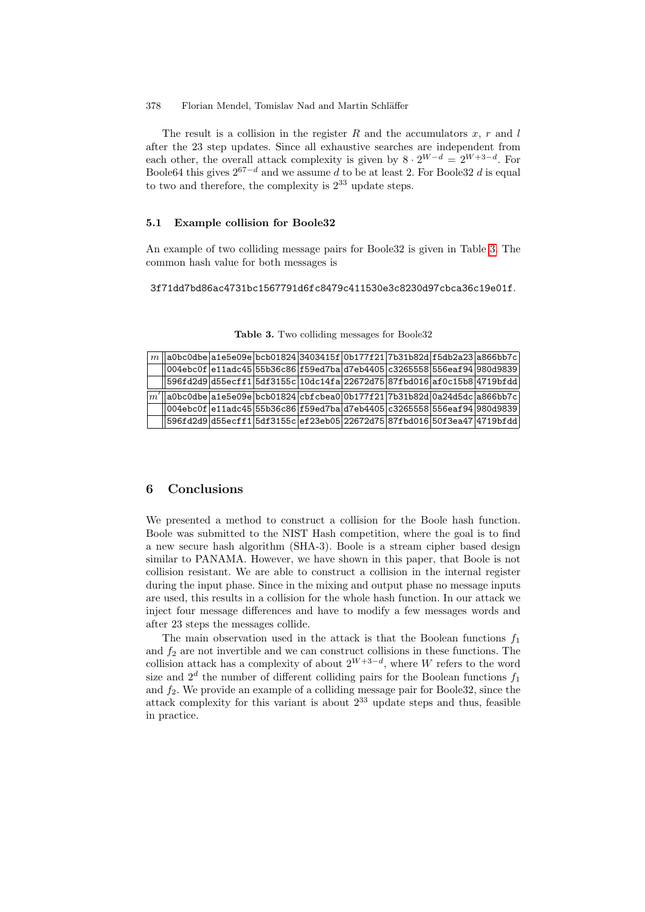#### 378 Florian Mendel, Tomislav Nad and Martin Schläffer

The result is a collision in the register R and the accumulators x, r and  $l$ after the 23 step updates. Since all exhaustive searches are independent from each other, the overall attack complexity is given by  $8 \cdot 2^{W-d} = 2^{W+3-d}$ . For Boole64 this gives  $2^{67-d}$  and we assume d to be at l[eas](#page-9-0)t 2. For Boole32 d is equal to two and therefore, the complexity is  $2^{33}$  update steps.

### 5.1 Example collision for Boole32

<span id="page-9-0"></span>An example of two colliding message pairs for Boole32 is given in Table 3. The common hash value for both messages is

3f71dd7bd86ac4731bc1567791d6fc8479c411530e3c8230d97cbca36c19e01f.

| m              |                                                                             |  | a0bc0dbe a1e5e09e bcb01824 3403415f 0b177f21 7b31b82d f5db2a23 a866bb7c |  |  |
|----------------|-----------------------------------------------------------------------------|--|-------------------------------------------------------------------------|--|--|
|                | 004ebc0f e11adc45 55b36c86 f59ed7ba d7eb4405 c3265558 556eaf 94 980d9839    |  |                                                                         |  |  |
|                |                                                                             |  | 596fd2d9 d55ecff1 5df3155c 10dc14fa 22672d75 87fbd016 af0c15b8 4719bfdd |  |  |
|                |                                                                             |  |                                                                         |  |  |
| $\mathbb{I}m'$ | $[a0bc0dbe a1e5e09e bcb01824 cbfcbea0 0b177f21 7b31b82d 0a24d5dc a866bb7c]$ |  |                                                                         |  |  |
|                | 004ebc0f e11adc45 55b36c86 f59ed7ba d7eb4405 c3265558 556eaf94 980d9839     |  |                                                                         |  |  |
|                |                                                                             |  | 596fd2d9 d55ecff1 5df3155c ef23eb05 22672d75 87fbd016 50f3ea47 4719bfdd |  |  |

Table 3. Two colliding messages for Boole32

#### 6 Conclusions

We presented a method to construct a collision for the Boole hash function. Boole was submitted to the NIST Hash competition, where the goal is to find a new secure hash algorithm (SHA-3). Boole is a stream cipher based design similar to PANAMA. However, we have shown in this paper, that Boole is not collision resistant. We are able to construct a collision in the internal register during the input phase. Since in the mixing and output phase no message inputs are used, this results in a collision for the whole hash function. In our attack we inject four message differences and have to modify a few messages words and after 23 steps the messages collide.

The main observation used in the attack is that the Boolean functions  $f_1$ and  $f_2$  are not invertible and we can construct collisions in these functions. The collision attack has a complexity of about  $2^{W+3-d}$ , where W refers to the word size and  $2^d$  the number of different colliding pairs for the Boolean functions  $f_1$ and  $f_2$ . We provide an example of a colliding message pair for Boole32, since the attack complexity for this variant is about  $2^{33}$  update steps and thus, feasible in practice.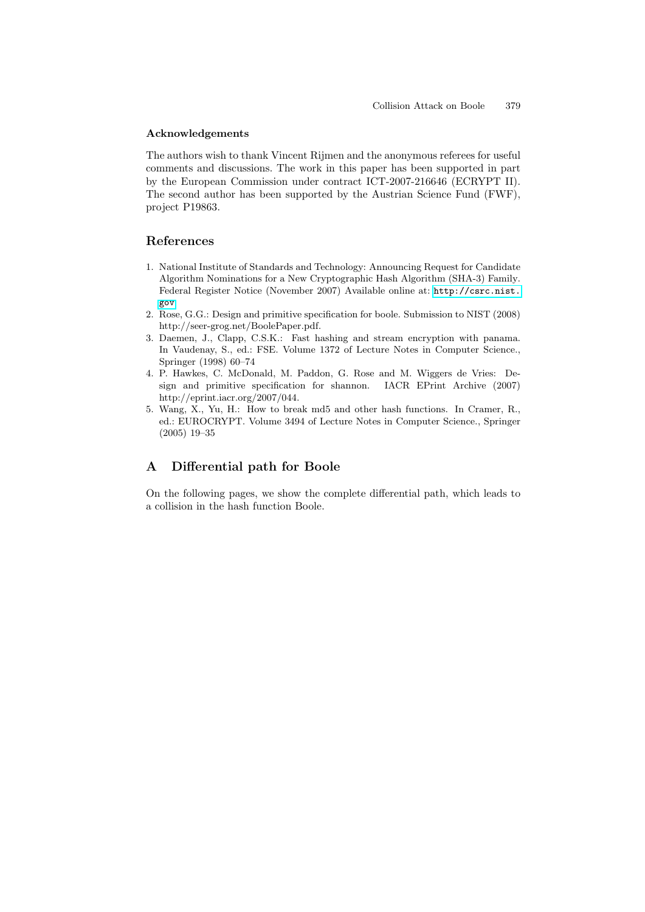#### Acknowledgements

<span id="page-10-0"></span>The authors wish to thank Vincent Rijmen and the anonymous referees for useful comments and discussions. The work in this paper has been supported in part by the European Commission under contract ICT-2007-216646 (ECRYPT II). The second author has been supported by the Austrian Science Fund (FWF), project P19863.

### <span id="page-10-1"></span>References

- <span id="page-10-2"></span>1. National Institute of Standards and Technology: Announcing Request for Candidate Algorithm Nominations for a New Cryptographic Hash Algorithm (SHA-3) Family. Federal Register Notice (November 2007) Available online at: http://csrc.nist. gov.
- 2. Rose, G.G.: Design and primitive specification for boole. Submission to NIST (2008) http://seer-grog.net/BoolePaper.pdf.
- 3. Daemen, J., Clapp, C.S.K.: Fast hashing and stream encryption with panama. In Vaudenay, S., ed.: FSE. Volume 1372 of Lecture Notes in Computer Science., Springer (1998) 60–74
- 4. P. Hawkes, C. McDonald, M. Paddon, G. Rose and M. Wiggers de Vries: Design and primitive specification for shannon. IACR EPrint Archive (2007) http://eprint.iacr.org/2007/044.
- 5. Wang, X., Yu, H.: How to break md5 and other hash functions. In Cramer, R., ed.: EUROCRYPT. Volume 3494 of Lecture Notes in Computer Science., Springer (2005) 19–35

# A Differential path for Boole

On the following pages, we show the complete differential path, which leads to a collision in the hash function Boole.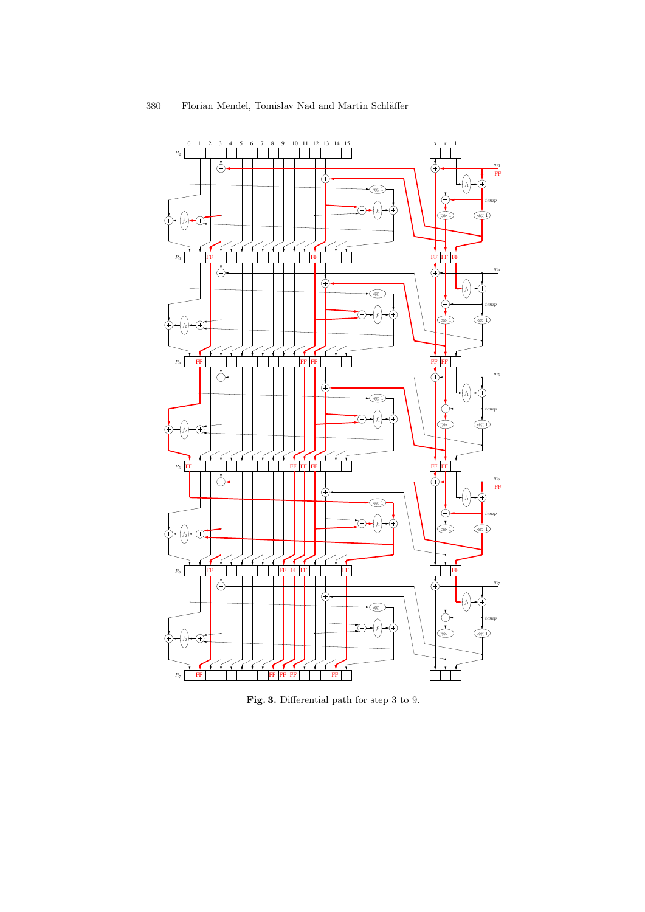

Fig. 3. Differential path for step 3 to 9.